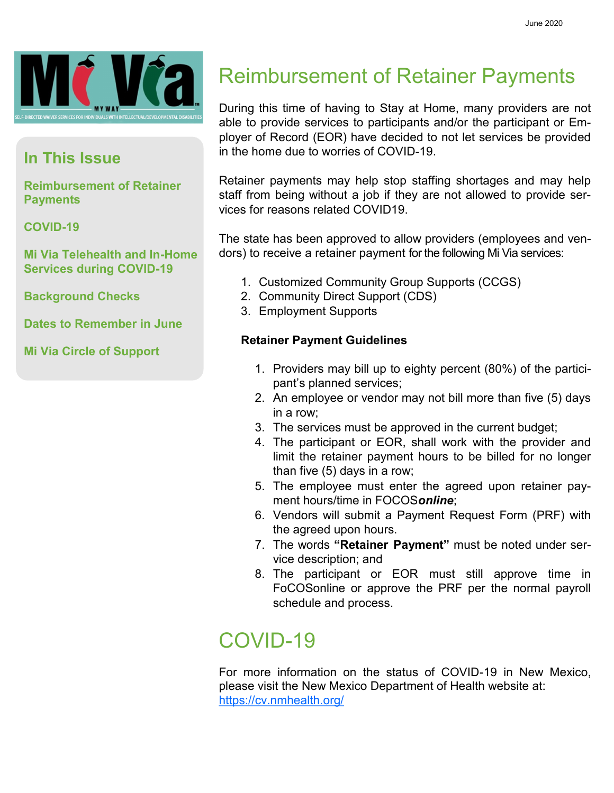

#### **In This Issue**

**Reimbursement of Retainer Payments**

#### **COVID-19**

**Mi Via Telehealth and In-Home Services during COVID-19**

**Background Checks**

**Dates to Remember in June**

**Mi Via Circle of Support**

### Reimbursement of Retainer Payments

During this time of having to Stay at Home, many providers are not able to provide services to participants and/or the participant or Employer of Record (EOR) have decided to not let services be provided in the home due to worries of COVID-19.

Retainer payments may help stop staffing shortages and may help staff from being without a job if they are not allowed to provide services for reasons related COVID19.

The state has been approved to allow providers (employees and vendors) to receive a retainer payment for the following Mi Via services:

- 1. Customized Community Group Supports (CCGS)
- 2. Community Direct Support (CDS)
- 3. Employment Supports

#### **Retainer Payment Guidelines**

- 1. Providers may bill up to eighty percent (80%) of the participant's planned services;
- 2. An employee or vendor may not bill more than five (5) days in a row;
- 3. The services must be approved in the current budget;
- 4. The participant or EOR, shall work with the provider and limit the retainer payment hours to be billed for no longer than five (5) days in a row;
- 5. The employee must enter the agreed upon retainer payment hours/time in FOCOS*online*;
- 6. Vendors will submit a Payment Request Form (PRF) with the agreed upon hours.
- 7. The words **"Retainer Payment"** must be noted under service description; and
- 8. The participant or EOR must still approve time in FoCOSonline or approve the PRF per the normal payroll schedule and process.

### COVID-19

For more information on the status of COVID-19 in New Mexico, please visit the New Mexico Department of Health website at: <https://cv.nmhealth.org/>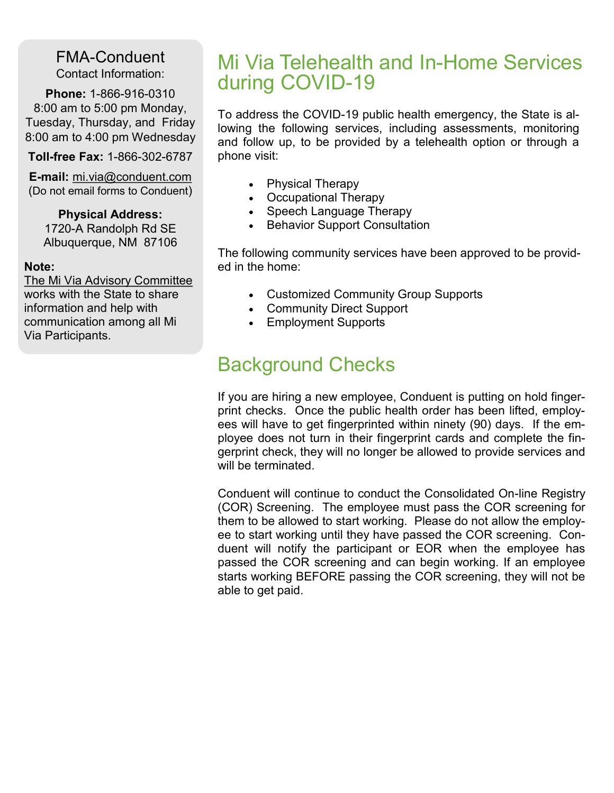FMA-Conduent Contact Information:

**Phone:** 1-866-916-0310 8:00 am to 5:00 pm Monday, Tuesday, Thursday, and Friday 8:00 am to 4:00 pm Wednesday

**Toll-free Fax:** 1-866-302-6787

**E-mail:** mi.via@conduent.com (Do not email forms to Conduent)

#### **Physical Address:**

1720-A Randolph Rd SE Albuquerque, NM 87106

#### **Note:**

The Mi Via Advisory Committee works with the State to share information and help with communication among all Mi Via Participants.

### Mi Via Telehealth and In-Home Services during COVID-19

To address the COVID-19 public health emergency, the State is allowing the following services, including assessments, monitoring and follow up, to be provided by a telehealth option or through a phone visit:

- Physical Therapy
- Occupational Therapy
- Speech Language Therapy
- Behavior Support Consultation

The following community services have been approved to be provided in the home:

- Customized Community Group Supports
- Community Direct Support
- Employment Supports

### Background Checks

If you are hiring a new employee, Conduent is putting on hold fingerprint checks. Once the public health order has been lifted, employees will have to get fingerprinted within ninety (90) days. If the employee does not turn in their fingerprint cards and complete the fingerprint check, they will no longer be allowed to provide services and will be terminated.

Conduent will continue to conduct the Consolidated On-line Registry (COR) Screening. The employee must pass the COR screening for them to be allowed to start working. Please do not allow the employee to start working until they have passed the COR screening. Conduent will notify the participant or EOR when the employee has passed the COR screening and can begin working. If an employee starts working BEFORE passing the COR screening, they will not be able to get paid.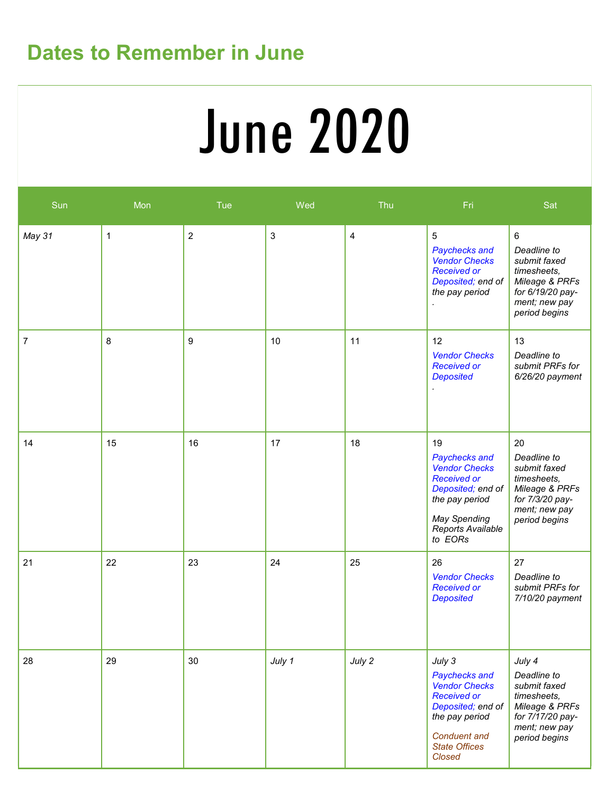## **Dates to Remember in June**

# **Service Deliveries Concerns (E.g. SSP)** June 2020

| Sun    | Mon | Tue            | Wed         | Thu            | Fri                                                                                                                                                                   | Sat                                                                                                                           |
|--------|-----|----------------|-------------|----------------|-----------------------------------------------------------------------------------------------------------------------------------------------------------------------|-------------------------------------------------------------------------------------------------------------------------------|
| May 31 | 1   | $\overline{2}$ | $\mathsf 3$ | $\overline{4}$ | $5\phantom{.0}$<br>Paychecks and<br><b>Vendor Checks</b><br><b>Received or</b><br>Deposited; end of<br>the pay period                                                 | $\,6\,$<br>Deadline to<br>submit faxed<br>timesheets,<br>Mileage & PRFs<br>for 6/19/20 pay-<br>ment; new pay<br>period begins |
| 7      | 8   | 9              | 10          | 11             | 12<br><b>Vendor Checks</b><br><b>Received or</b><br><b>Deposited</b>                                                                                                  | 13<br>Deadline to<br>submit PRFs for<br>$6/26/20$ payment                                                                     |
| 14     | 15  | 16             | 17          | 18             | 19<br>Paychecks and<br><b>Vendor Checks</b><br><b>Received or</b><br>Deposited; end of<br>the pay period<br><b>May Spending</b><br>Reports Available<br>to EORs       | 20<br>Deadline to<br>submit faxed<br>timesheets,<br>Mileage & PRFs<br>for 7/3/20 pay-<br>ment; new pay<br>period begins       |
| 21     | 22  | 23             | 24          | 25             | 26<br><b>Vendor Checks</b><br><b>Received or</b><br><b>Deposited</b>                                                                                                  | 27<br>Deadline to<br>submit PRFs for<br>7/10/20 payment                                                                       |
| 28     | 29  | 30             | July 1      | July 2         | July 3<br>Paychecks and<br><b>Vendor Checks</b><br><b>Received or</b><br>Deposited; end of<br>the pay period<br><b>Conduent and</b><br><b>State Offices</b><br>Closed | July 4<br>Deadline to<br>submit faxed<br>timesheets,<br>Mileage & PRFs<br>for 7/17/20 pay-<br>ment; new pay<br>period begins  |